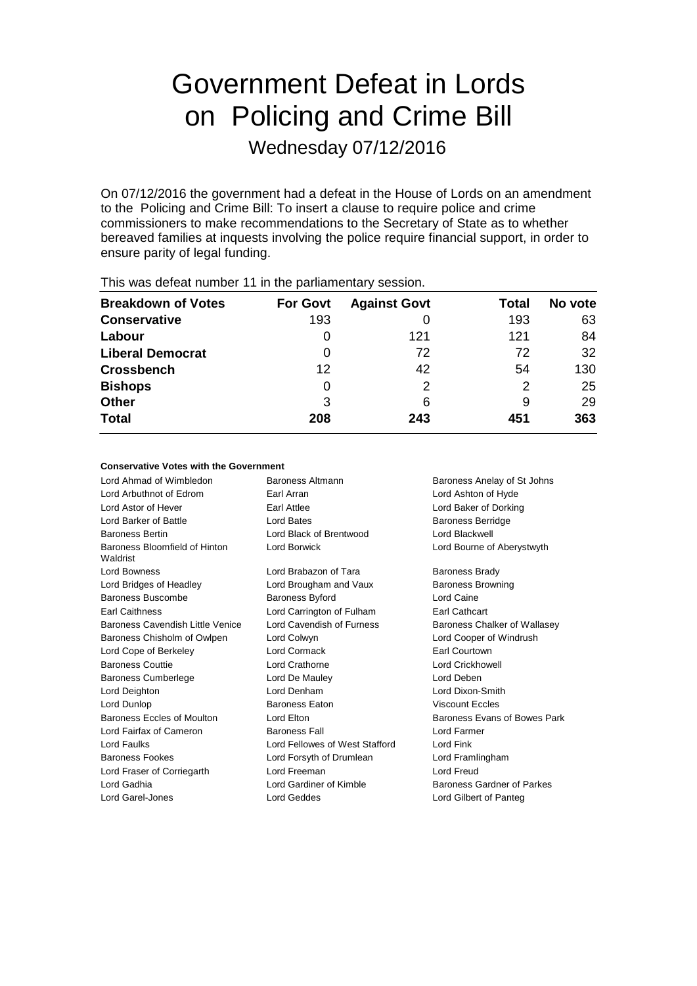# Government Defeat in Lords on Policing and Crime Bill

Wednesday 07/12/2016

On 07/12/2016 the government had a defeat in the House of Lords on an amendment to the Policing and Crime Bill: To insert a clause to require police and crime commissioners to make recommendations to the Secretary of State as to whether bereaved families at inquests involving the police require financial support, in order to ensure parity of legal funding.

| <b>THIS WAS GOT CATTIONING!</b> TT III THE THE PAINMENT CHILD Y SUSSION. |                 |                     |       |         |
|--------------------------------------------------------------------------|-----------------|---------------------|-------|---------|
| <b>Breakdown of Votes</b>                                                | <b>For Govt</b> | <b>Against Govt</b> | Total | No vote |
| <b>Conservative</b>                                                      | 193             |                     | 193   | 63      |
| Labour                                                                   |                 | 121                 | 121   | 84      |
| <b>Liberal Democrat</b>                                                  | 0               | 72                  | 72    | 32      |
| <b>Crossbench</b>                                                        | 12              | 42                  | 54    | 130     |
| <b>Bishops</b>                                                           | 0               | 2                   | 2     | 25      |
| <b>Other</b>                                                             | 3               | 6                   | 9     | 29      |
| <b>Total</b>                                                             | 208             | 243                 | 451   | 363     |
|                                                                          |                 |                     |       |         |

This was defeat number 11 in the parliamentary session.

### **Conservative Votes with the Government**

Lord Ahmad of Wimbledon **Baroness Altmann** Baroness Anelay of St Johns Lord Arbuthnot of Edrom Earl Arran Earl Arran Lord Ashton of Hyde Lord Astor of Hever Earl Attlee Lord Baker of Dorking Lord Barker of Battle **Lord Bates** Lord Bates **Baroness Berridge** Baroness Bertin Lord Black of Brentwood Lord Blackwell Baroness Bloomfield of Hinton Waldrist Lord Borwick Lord Bourne of Aberystwyth Lord Bowness **Lord Brabazon of Tara** Baroness Brady Lord Bridges of Headley Lord Brougham and Vaux Baroness Browning Baroness Buscombe Baroness Byford Lord Caine Earl Caithness Lord Carrington of Fulham Earl Cathcart Baroness Cavendish Little Venice Lord Cavendish of Furness Baroness Chalker of Wallasey Baroness Chisholm of Owlpen Lord Colwyn Lord Cooper of Windrush Lord Cope of Berkeley **Lord Cormack Earl Courtown** Baroness Couttie Lord Crathorne Lord Crickhowell Baroness Cumberlege Lord De Mauley Lord Deben Lord Deighton Lord Denham Lord Dixon-Smith Lord Dunlop Baroness Eaton Viscount Eccles Baroness Eccles of Moulton Lord Elton Baroness Evans of Bowes Park Lord Fairfax of Cameron Baroness Fall Lord Farmer Lord Faulks Lord Fellowes of West Stafford Lord Fink Baroness Fookes Lord Forsyth of Drumlean Lord Framlingham Lord Fraser of Corriegarth Lord Freeman Lord Freud Lord Gadhia **Lord Gardiner of Kimble** Baroness Gardner of Parkes Lord Garel-Jones Lord Geddes Lord Gilbert of Panteg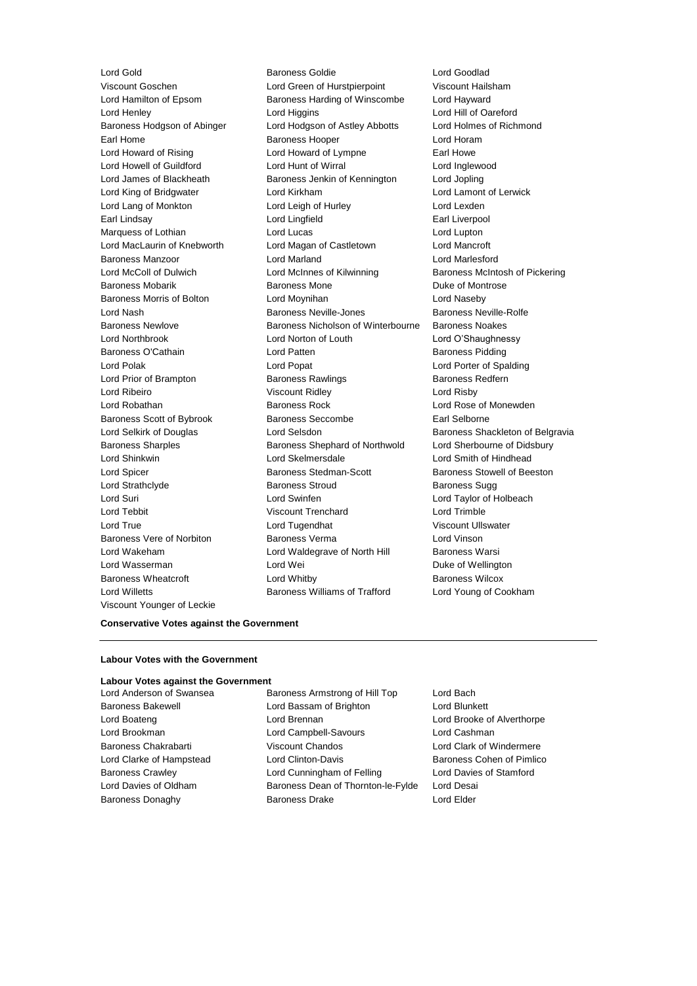Lord Willetts Baroness Williams of Trafford Lord Young of Cookham Viscount Younger of Leckie

Lord Gold **Baroness Goldie Communist Construction** Baroness Goldie **Lord Goodlad** Viscount Goschen Lord Green of Hurstpierpoint Viscount Hailsham Lord Hamilton of Epsom Baroness Harding of Winscombe Lord Hayward Lord Henley Lord Higgins Lord Hill of Oareford Baroness Hodgson of Abinger Lord Hodgson of Astley Abbotts Lord Holmes of Richmond Earl Home **Baroness Hooper Containers** Lord Horam Lord Howard of Rising **Lord Howard of Lympne** Earl Howe Lord Howell of Guildford Lord Hunt of Wirral Lord Inglewood Lord James of Blackheath Baroness Jenkin of Kennington Lord Jopling Lord King of Bridgwater Lord Kirkham Lord Lamont of Lerwick Lord Lang of Monkton **Lord Leigh of Hurley** Lord Lexden Earl Lindsay **Lord Lingfield** Earl Liverpool Lord Lingfield Earl Liverpool Marquess of Lothian **Lord Lucas** Lord Lucas Lord Lupton Lord MacLaurin of Knebworth Lord Magan of Castletown Lord Mancroft Baroness Manzoor Lord Marland Lord Marlesford Lord McColl of Dulwich Lord McInnes of Kilwinning Baroness McIntosh of Pickering Baroness Mobarik **Baroness Mone** Baroness Mone **Duke of Montrose** Baroness Morris of Bolton Lord Moynihan Lord Naseby Lord Nash Baroness Neville-Jones Baroness Neville-Rolfe Baroness Newlove Baroness Nicholson of Winterbourne Baroness Noakes Lord Northbrook Lord Norton of Louth Lord O'Shaughnessy Baroness O'Cathain **Example 2** Lord Patten **Baroness Pidding Baroness Pidding** Lord Polak Lord Popat Lord Porter of Spalding Lord Prior of Brampton **Baroness Rawlings** Baroness Redfern Lord Ribeiro Viscount Ridley Lord Risby Lord Robathan Baroness Rock Lord Rose of Monewden Baroness Scott of Bybrook Baroness Seccombe Earl Selborne Lord Selkirk of Douglas **Lord Selsdon** Baroness Shackleton of Belgravia Baroness Sharples Baroness Shephard of Northwold Lord Sherbourne of Didsbury Lord Shinkwin Lord Skelmersdale Lord Smith of Hindhead Lord Spicer **Baroness Stedman-Scott** Baroness Stowell of Beeston Lord Strathclyde Baroness Stroud Baroness Sugg Lord Suri Lord Swinfen Lord Taylor of Holbeach Lord Tebbit Viscount Trenchard Lord Trimble Lord True Lord Tugendhat Viscount Ullswater Baroness Vere of Norbiton Baroness Verma Cord Vinson Lord Wakeham **Lord Waldegrave of North Hill** Baroness Warsi Lord Wasserman **Lord Wei** Duke of Wellington Baroness Wheatcroft Lord Whitby Baroness Wilcox

#### **Conservative Votes against the Government**

#### **Labour Votes with the Government**

#### **Labour Votes against the Government**

Lord Anderson of Swansea **Baroness Armstrong of Hill Top** Lord Bach Baroness Bakewell **Lord Bassam of Brighton** Lord Blunkett Lord Boateng Lord Brennan Lord Brooke of Alverthorpe Lord Brookman Lord Campbell-Savours Lord Cashman Baroness Chakrabarti Viscount Chandos Lord Clark of Windermere Lord Clarke of Hampstead Lord Clinton-Davis Baroness Cohen of Pimlico Baroness Crawley Lord Cunningham of Felling Lord Davies of Stamford Lord Davies of Oldham Baroness Dean of Thornton-le-Fylde Lord Desai Baroness Donaghy **Baroness Drake** Lord Elder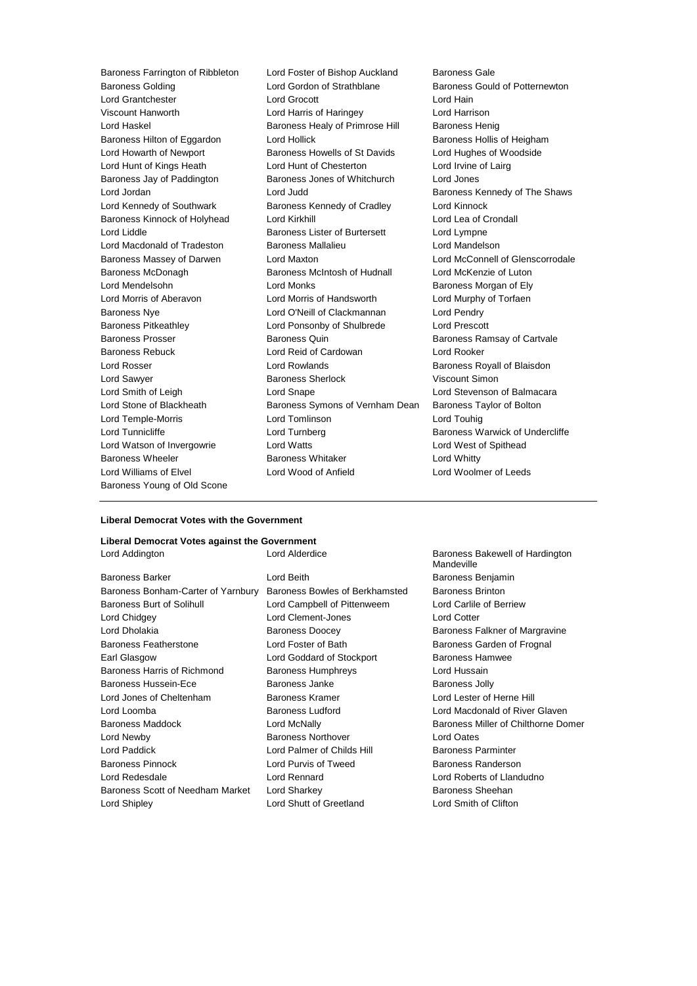Baroness Golding Lord Gordon of Strathblane Baroness Gould of Potternewton Lord Grantchester Lord Grocott Lord Hain Viscount Hanworth Lord Harris of Haringey Lord Harrison Lord Haskel **Baroness Healy of Primrose Hill** Baroness Henig Baroness Hilton of Eggardon Lord Hollick Baroness Hollis of Heigham Lord Howarth of Newport **Baroness Howells of St Davids** Lord Hughes of Woodside Lord Hunt of Kings Heath **Lord Hunt of Chesterton** Lord Irvine of Lairg Baroness Jay of Paddington Baroness Jones of Whitchurch Lord Jones Lord Jordan Lord Judd Baroness Kennedy of The Shaws Lord Kennedy of Southwark Baroness Kennedy of Cradley Lord Kinnock Baroness Kinnock of Holyhead Lord Kirkhill Lord Lord Lea of Crondall Lord Liddle Baroness Lister of Burtersett Lord Lympne Lord Macdonald of Tradeston Baroness Mallalieu Lord Mandelson Baroness Massey of Darwen Lord Maxton Lord McConnell of Glenscorrodale Baroness McDonagh Baroness McIntosh of Hudnall Lord McKenzie of Luton Lord Mendelsohn **Lord Monks Communist Communist Ely Baroness Morgan of Ely** Lord Morris of Aberavon Lord Morris of Handsworth Lord Murphy of Torfaen Baroness Nye Lord O'Neill of Clackmannan Lord Pendry Baroness Pitkeathley Lord Ponsonby of Shulbrede Lord Prescott Baroness Prosser **Baroness Quin** Baroness Quin Baroness Ramsay of Cartvale Baroness Rebuck Lord Reid of Cardowan Lord Rooker Lord Rosser **Lord Rowlands Baroness Royall of Blaisdon** Lord Sawyer **Baroness Sherlock** Viscount Simon Lord Smith of Leigh Lord Snape Lord Stevenson of Balmacara Lord Stone of Blackheath Baroness Symons of Vernham Dean Baroness Taylor of Bolton Lord Temple-Morris Lord Tomlinson Lord Touhig Lord Tunnicliffe **Lord Turnberg Lord Baroness Warwick of Undercliffe** Lord Watson of Invergowrie Lord Watts Lord West of Spithead Baroness Wheeler Baroness Whitaker Lord Whitty Lord Williams of Elvel Lord Wood of Anfield Lord Woolmer of Leeds Baroness Young of Old Scone

Baroness Farrington of Ribbleton Lord Foster of Bishop Auckland Baroness Gale

#### **Liberal Democrat Votes with the Government**

## **Liberal Democrat Votes against the Government**

| Lord Addington                     | Lord Alderdice                 | Baroness Bakewell of Hardington<br>Mandeville |
|------------------------------------|--------------------------------|-----------------------------------------------|
| <b>Baroness Barker</b>             | Lord Beith                     | Baroness Benjamin                             |
| Baroness Bonham-Carter of Yarnbury | Baroness Bowles of Berkhamsted | <b>Baroness Brinton</b>                       |
| <b>Baroness Burt of Solihull</b>   | Lord Campbell of Pittenweem    | Lord Carlile of Berriew                       |
| Lord Chidgey                       | Lord Clement-Jones             | <b>Lord Cotter</b>                            |
| Lord Dholakia                      | <b>Baroness Doocey</b>         | Baroness Falkner of Margravine                |
| <b>Baroness Featherstone</b>       | Lord Foster of Bath            | Baroness Garden of Frognal                    |
| Earl Glasgow                       | Lord Goddard of Stockport      | <b>Baroness Hamwee</b>                        |
| Baroness Harris of Richmond        | <b>Baroness Humphreys</b>      | Lord Hussain                                  |
| <b>Baroness Hussein-Ece</b>        | Baroness Janke                 | <b>Baroness Jolly</b>                         |
| Lord Jones of Cheltenham           | Baroness Kramer                | Lord Lester of Herne Hill                     |
| Lord Loomba                        | <b>Baroness Ludford</b>        | Lord Macdonald of River Glaven                |
| <b>Baroness Maddock</b>            | Lord McNally                   | Baroness Miller of Chilthorne Domer           |
| Lord Newby                         | <b>Baroness Northover</b>      | Lord Oates                                    |
| Lord Paddick                       | Lord Palmer of Childs Hill     | <b>Baroness Parminter</b>                     |
| <b>Baroness Pinnock</b>            | Lord Purvis of Tweed           | Baroness Randerson                            |
| Lord Redesdale                     | Lord Rennard                   | Lord Roberts of Llandudno                     |
| Baroness Scott of Needham Market   | Lord Sharkey                   | Baroness Sheehan                              |
| Lord Shipley                       | Lord Shutt of Greetland        | Lord Smith of Clifton                         |